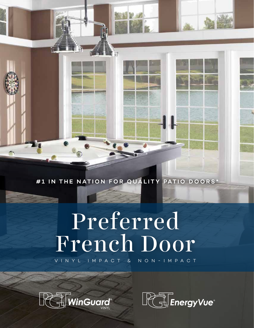#1 IN THE NATION FOR QUALITY PATIO DOORS\*

# Preferred French Door

VINYL IMPACT & NON-IMPACT



 $\rightarrow$ 

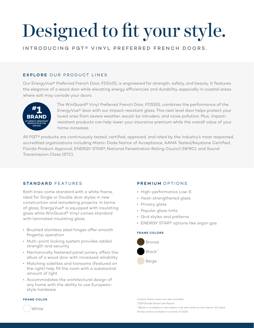# Designed to fit your style.

INTRODUCING PGT® VINYL PREFERRED FRENCH DOORS.

# EXPLORE OUR PRODUCT LINES

Our EnergyVue® Preferred French Door, FD5455, is engineered for strength, safety, and beauty. It features the elegance of a wood door while elevating energy efficiencies and durability, especially in coastal areas where salt may corrode your doors.



 The WinGuard® Vinyl Preferred French Door, FD5555, combines the performance of the EnergyVue® door with our impact-resistant glass. This next level door helps protect your loved ones from severe weather, would-be intruders, and noise pollution. Plus, impact resistant products can help lower your insurance premium while the overall value of your home increases.

All PGT® products are continuously tested, certified, approved, and rated by the industry's most respected, accredited organizations including Miami-Dade Notice of Acceptance, AAMA Tested/Keystone Certified, Florida Product Approval, ENERGY STAR®, National Fenestration Rating Council (NFRC), and Sound Transmission Class (STC).

# STANDARD FEATURES

Both lines come standard with a white frame, ideal for Single or Double door styles in new construction and remodeling projects. In terms of glass, EnergyVue® is equipped with insulating glass while WinGuard® Vinyl comes standard with laminated insulating glass.

- Brushed stainless steel hinges offer smooth fingertip operation
- Multi-point locking system provides added strength and security
- Mechanically fastened panel joinery offers the allure of a wood door with increased reliability
- Matching sidelites and transoms (featured on the right) help fill the room with a substantial amount of light
- Accommodates the architectural design of any home with the ability to use Europeanstyle hardware

### FRAME COLOR

# PREMIUM OPTIONS

- High-performance Low-E
- Heat-strengthened glass
- Privacy glass
- Popular glass tints
- Grid styles and patterns
- ENERGY STAR® options like argon gas

# FRAME COLORS



*Custom frame colors are also available.*

*\*2019 Builder Brand Use Report.*

*\*\*Black is available on the exterior only with white on the interior. All-black* 

*frames will be available in summer of 2020.*

**White**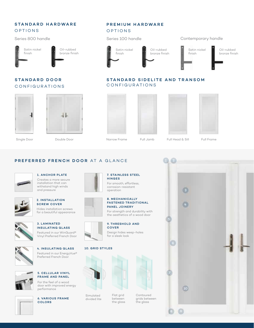# STANDARD HARDWARE **OPTIONS**

Series 800 handle



Oil-rubbed bronze finish

# STANDARD DOOR CONFIGURATIONS







PREMIUM HARDWARE

**OPTIONS** 

7. STAINLESS STEEL

For smooth, effortless, corrosion-resistant

HINGES

Single Door Double Door Narrow Frame Full Jamb Full Head & Sill Full Frame

PREFERRED FRENCH DOOR AT A GLANCE



### 1. ANCHOR PLATE Creates a more secure installation that can withstand high winds

and pressure



2. INSTALLATION SCREW COVER Hides installation screws for a beautiful appearance



3. LAMINATED INSULATING GLASS Featured in our WinGuard® Vinyl Preferred French Door







For the feel of a wood door with improved energy performance







# operation 8. MECHANICALLY FASTENED TRADITIONAL PANEL JOINERY

For strength and durability with the aesthetics of a wood door



# 9. THRESHOLD AND **COVER**

Design hides weep-holes for a sleek look

## 10. GRID STYLES



Flat grid between the glass

Simulated divided lite



Contoured grids between the glass





# STANDARD SIDELITE AND TRANSOM CONFIGURATIONS